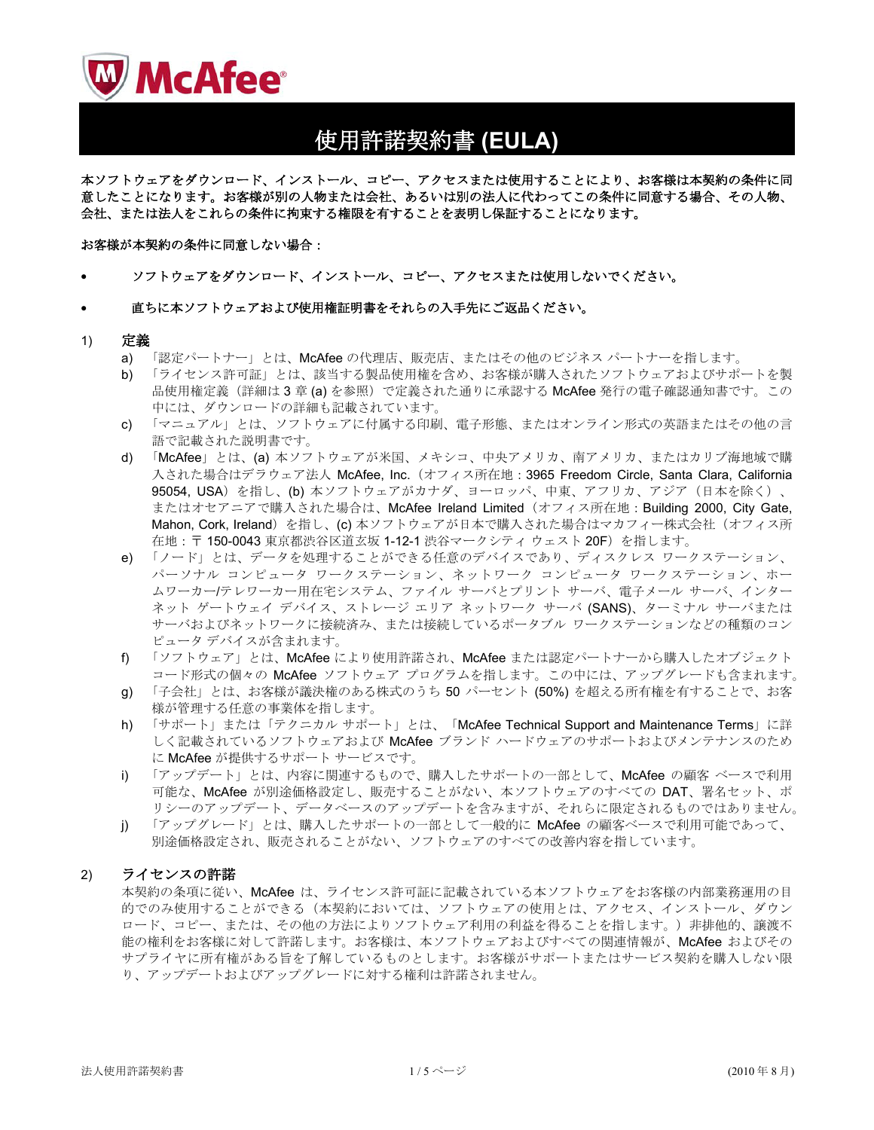

# ↪⸵⻌ᄾ⚂ᦠ **(EULA)**

本ソフトウェアをダウンロード、インストール、コピー、アクセスまたは使用することにより、お客様は本契約の条件に同 意したことになります。お客様が別の人物または会社、あるいは別の法人に代わってこの条件に同意する場合、その人物、 会社、または法人をこれらの条件に拘束する権限を有することを表明し保証することになります。

#### お客様が本契約の条件に同意しない場合:

• ソフトウェアをダウンロード、インストール、コピー、アクセスまたは使用しないでください。

#### 直ちに本ソフトウェアおよび使用権証明書をそれらの入手先にご返品ください。

#### 1) 定義

- a) 「認定パートナー」とは、McAfee の代理店、販売店、またはその他のビジネス パートナーを指します。
- b) 「ライセンス許可証」とは、該当する製品使用権を含め、お客様が購入されたソフトウェアおよびサポートを製 品使用権定義(詳細は3章(a)を参照)で定義された通りに承認する McAfee 発行の電子確認通知書です。この 中には、ダウンロードの詳細も記載されています。
- c) 「マニュアル」とは、ソフトウェアに付属する印刷、電子形態、またはオンライン形式の英語またはその他の言 語で記載された説明書です。
- d) 「McAfee」とは、(a) 本ソフトウェアが米国、メキシコ、中央アメリカ、南アメリカ、またはカリブ海地域で購 入された場合はデラウェア法人 McAfee, Inc. (オフィス所在地: 3965 Freedom Circle, Santa Clara, California 95054, USA) を指し、(b) 本ソフトウェアがカナダ、ヨーロッパ、中東、アフリカ、アジア (日本を除く)、 またはオセアニアで購入された場合は、McAfee Ireland Limited (オフィス所在地: Building 2000, City Gate, Mahon, Cork, Ireland) を指し、(c) 本ソフトウェアが日本で購入された場合はマカフィー株式会社 (オフィス所 在地: 〒 150-0043 東京都渋谷区道玄坂 1-12-1 渋谷マークシティウェスト 20F) を指します。
- e) 「ノード」とは、データを処理することができる任意のデバイスであり、ディスクレス ワークステーション、 パーソナル コンピュータ ワークステーション、ネットワーク コンピュータ ワークステーション、ホー ムワーカー/テレワーカー用在宅システム、ファイル サーバとプリント サーバ、電子メール サーバ、インター ネット ゲートウェイ デバイス、ストレージ エリア ネットワーク サーバ (SANS)、ターミナル サーバまたは サーバおよびネットワークに接続済み、または接続しているポータブル ワークステーションなどの種類のコン ピュータ デバイスが含まれます。
- f) 「ソフトウェア」とは、McAfee により使用許諾され、McAfee または認定パートナーから購入したオブジェクト コード形式の個々の McAfee ソフトウェア プログラムを指します。この中には、アップグレードも含まれます。
- g) 「子会社」とは、お客様が議決権のある株式のうち 50 パーセント (50%) を超える所有権を有することで、お客 様が管理する任意の事業体を指します。
- h) 「サポート」または「テクニカル サポート」とは、「McAfee Technical Support and Maintenance Terms」に詳 しく記載されているソフトウェアおよび McAfee ブランド ハードウェアのサポートおよびメンテナンスのため に McAfee が提供するサポート サービスです。
- i) 「アップデート」とは、内容に関連するもので、購入したサポートの一部として、McAfee の顧客 ベースで利用 可能な、McAfee が別途価格設定し、販売することがない、本ソフトウェアのすべての DAT、署名セット、ポ リシーのアップデートを含みますが、それらに限定されるものではありません。
- j) 「アップグレード」とは、購入したサポートの一部として一般的に McAfee の顧客ベースで利用可能であって、 別途価格設定され、販売されることがない、ソフトウェアのすべての改善内容を指しています。

## 2) ライセンスの許諾

本契約の条項に従い、McAfee は、ライセンス許可証に記載されている本ソフトウェアをお客様の内部業務運用の目 的でのみ使用することができる(本契約においては、ソフトウェアの使用とは、アクセス、インストール、ダウン ロード、コピー、または、その他の方法によりソフトウェア利用の利益を得ることを指します。)非排他的、譲渡不 能の権利をお客様に対して許諾します。お客様は、本ソフトウェアおよびすべての関連情報が、McAfee およびその サプライヤに所有権がある旨を了解しているものとします。お客様がサポートまたはサービス契約を購入しない限 り、アップデートおよびアップグレードに対する権利は許諾されません。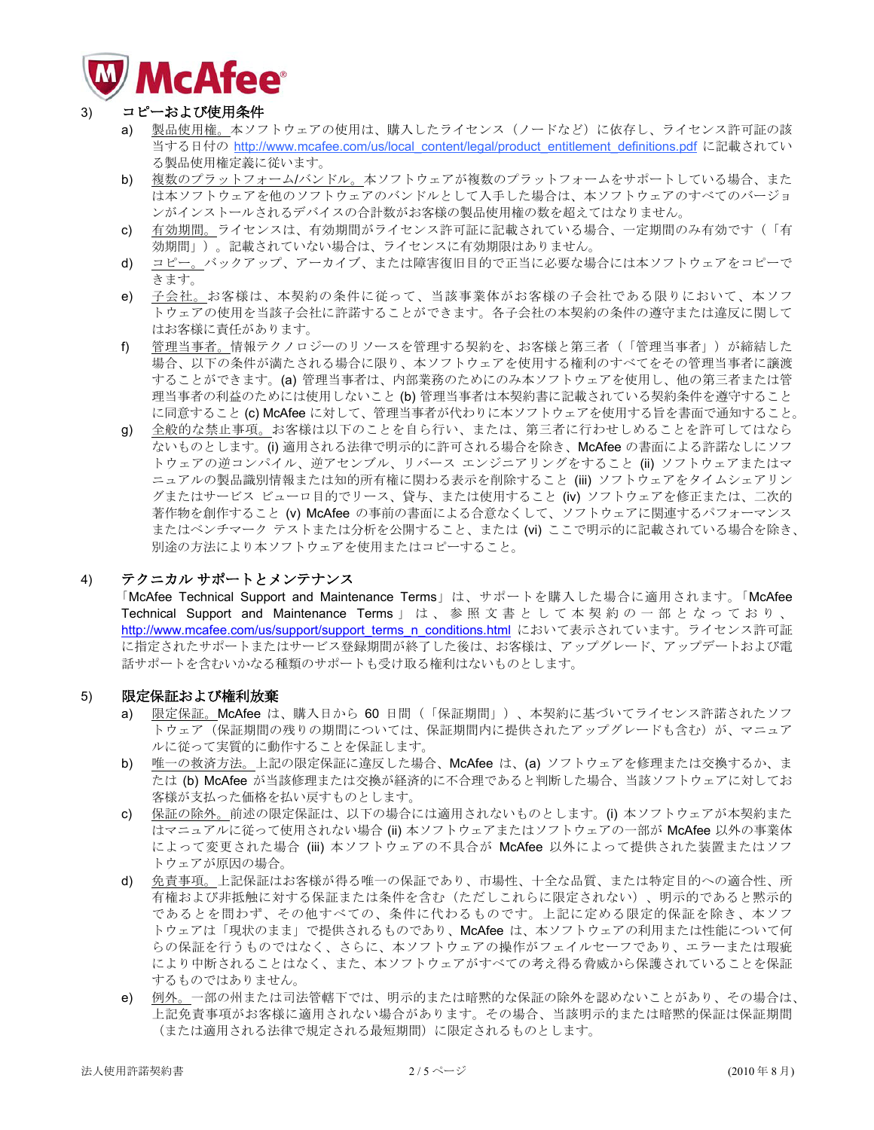

# 3) コピーおよび使用条件

- a) 製品使用権。本ソフトウェアの使用は、購入したライセンス (ノードなど) に依存し、ライセンス許可証の該 当する日付の [http://www.mcafee.com/us/local\\_content/legal/product\\_entitlement\\_definitions.pdf](http://www.mcafee.com/us/local_content/legal/product_entitlement_definitions.pdf) に記載されてい る製品使用権定義に従います。
- b) 複数のプラットフォーム/バンドル。本ソフトウェアが複数のプラットフォームをサポートしている場合、また は本ソフトウェアもウェアのバンドルとして入手した場合は、本ソフトウェアのすべてのバージョ ンがインストールされるデバイスの合計数がお客様の製品使用権の数を超えてはなりません。
- c) 有効期間。ライセンスは、有効期間がライセンス許可証に記載されている場合、一定期間のみ有効です(「有 効期間」)。記載されていない場合は、ライセンスに有効期限はありません。
- d) コピー。バックアップ、アーカイブ、または障害復旧目的で正当に必要な場合には本ソフトウェアをコピーで きます。
- e) 子会社。お客様は、本契約の条件に従って、当該事業体がお客様の子会社である限りにおいて、本ソフ トウェアの使用を当該子会社に許諾することができます。各子会社の本契約の条件の遵守または違反に関して はお客様に責任があります。
- f) 管理当事者。情報テクノロジーのリソースを管理する契約を、お客様と第三者(「管理当事者」)が締結した 場合、以下の条件が満たされる場合に限り、本ソフトウェアを使用する権利のすべてをその管理当事者に譲渡 することができます。(a) 管理当事者は、内部業務のためにのみ本ソフトウェアを使用し、他の第三者または管 理当事者の利益のためには使用しないこと (b) 管理当事者は本契約書に記載されている契約条件を遵守すること に同意すること (c) McAfee に対して、管理当事者が代わりに本ソフトウェアを使用する旨を書面で通知すること。
- g) 全般的な禁止事項。お客様は以下のことを自ら行い、または、第三者に行わせしめることを許可してはなら ないものとします。(i) 適用される法律で明示的に許可される場合を除き、McAfee の書面による許諾なしにソフ トウェアの逆コンパイル、逆アセンブル、リバース エンジニアリングをすること (ii) ソフトウェアまたはマ ニュアルの製品識別情報または知的所有権に関わる表示を削除すること(iii) ソフトウェアをタイムシェアリン グまたはサービスビシューロ目的でリース、貸与、または使用すること (iv) ソフトウェアを修正または、二次的 著作物を創作すること (v) McAfee の事前の書面による合意なくして、ソフトウェアに関連するパフォーマンス またはベンチマークテストまたは分析を公開すること、または (vi) ここで明示的に記載されている場合を除き、 別涂の方法により本ソフトウェアを使用またはコピーすること。

# 4) テクニカル サポートとメンテナンス

「McAfee Technical Support and Maintenance Terms」は、サポートを購入した場合に適用されます。「McAfee Technical Support and Maintenance Terms」は、参照文書として本契約の一部となっており、 [http://www.mcafee.com/us/support/support\\_terms\\_n\\_conditions.html](http://www.mcafee.com/us/support/support_terms_n_conditions.html) において表示されています。ライセンス許可証 に指定されたサポートまたはサービス登録期間が終了した後は、お客様は、アップグレード、アップデートおよび電 話サポートを含むいかなる種類のサポートも受け取る権利はないものとします。

## 5) 限定保証および権利放棄

- a) 限定保証。McAfee は、購入日から 60 日間 (「保証期間」)、本契約に基づいてライセンス許諾されたソフ トウェア (保証期間の残りの期間については、保証期間内に提供されたアップグレードも含む) が、マニュア ルに従って実質的に動作することを保証します。
- b) 唯一の救済方法。上記の限定保証に違反した場合、McAfee は、(a) ソフトウェアを修理または交換するか、ま たは (b) McAfee が当該修理または交換が経済的に不合理であると判断した場合、当該ソフトウェアに対してお 客様が支払った価格を払い戻すものとします。
- c) 保証の除外。前述の限定保証は、以下の場合には適用されないものとします。(i) 本ソフトウェアが本契約また はマニュアルに従って使用されない場合(ii) 本ソフトウェアまたはソフトウェアの一部が McAfee 以外の事業体 によって変更された場合(iii) 本ソフトウェアの不具合が McAfee 以外によって提供された装置またはソフ トウェアが原因の場合。
- d) 免責事項。上記保証はお客様が得る唯一の保証であり、市場性、十全な品質、または特定目的への適合性、所 有権および非抵触に対する保証または条件を含む(ただしこれらに限定されない)、明示的であると黙示的 であるとを問わず、その他すべての、条件に代わるものです。上記に定める限定的保証を除き、本ソフ トウェアは「現状のまま」で提供されるものであり、McAfee は、本ソフトウェアの利用または性能について何 らの保証を行うものではなく、さらに、本ソフトウェアの操作がフェイルセーフであり、エラーまたは瑕疵 により中断されることはなく、また、本ソフトウェアがすべての考え得る脅威から保護されていることを保証 するものではありません。
- e) 例外。一部の州または司法管轄下では、明示的または暗黙的な保証の除外を認めないことがあり、その場合は、 上記免責事項がお客様に適用されない場合があります。その場合、当該明示的または暗黙的保証は保証期間 (または適用される法律で規定される最短期間)に限定されるものとします。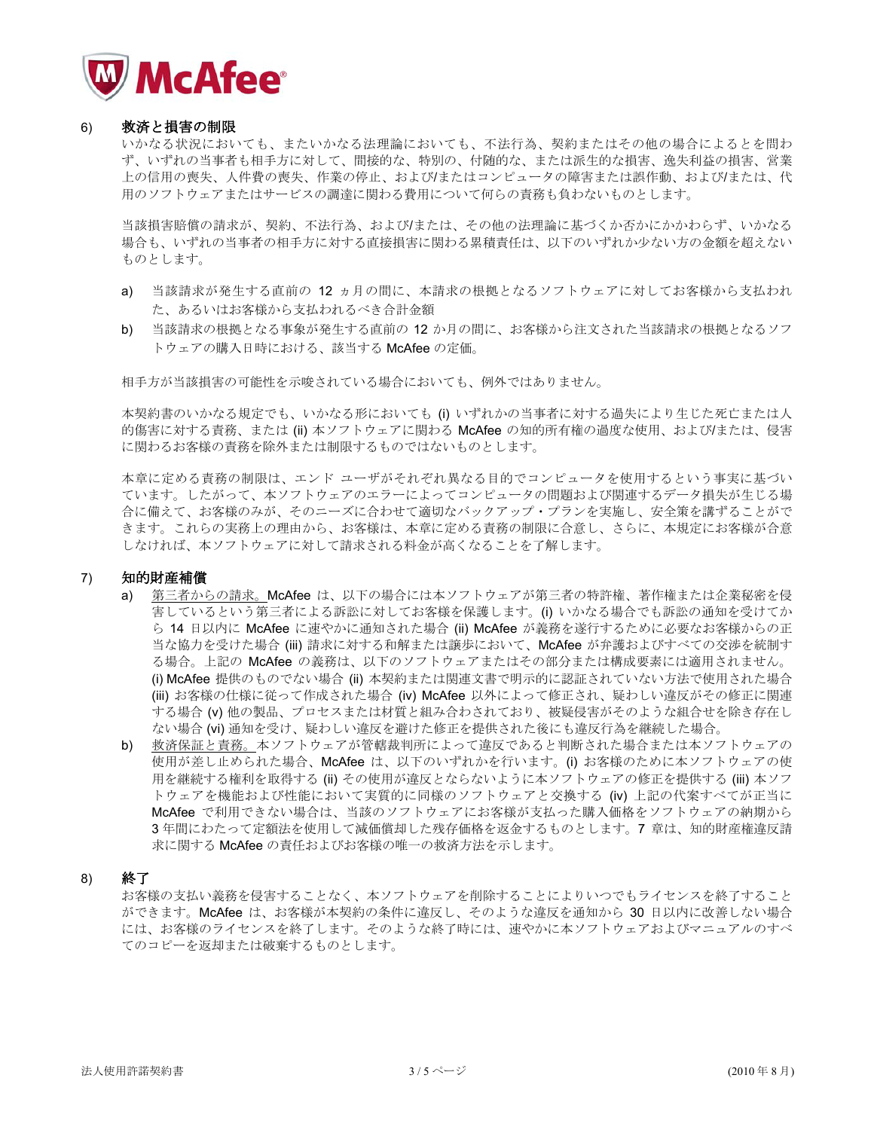

#### 6) 救済と損害の制限

いかなる状況においてお、不法行為、契約またはその他の場合によるとを問わ ず、いずれの当事者も相手方に対して、間接的な、特別の、付随的な、または派生的な損害、逸失利益の損害、営業 上の信用の喪失、人件費の喪失、作業の停止、および生たはコンピュータの障害または誤作動、および/または、代 用のソフトウェアまたはサービスの調達に関わる費用について何らの責務も負わないものとします。

当該損害賠償の請求が、契約、不法行為、およびはたは、その他の法理論に基づくか否かにかかわらず、いかなる 場合も、いずれの当事者の相手方に対する直接損害に関わる累積責任は、以下のいずれか少ない方の金額を超えない ものとします。

- a) 当該請求が発生する直前の 12 ヵ月の間に、本請求の根拠となるソフトウェアに対してお客様から支払われ た、あるいはお客様から支払われるべき合計金額
- b) 当該請求の根拠となる事象が発生する直前の 12 か月の間に、お客様から注文された当該請求の根拠となるソフ トウェアの購入日時における、該当する McAfee の定価。

相手方が当該損害の可能性を示唆されている場合においても、例外ではありません。

本契約書のいかなる規定でも、いかなる形においても (i) いずれかの当事者に対する過失により生じた死亡または人 的傷害に対する責務、または(ii) 本ソフトウェアに関わる McAfee の知的所有権の渦度な使用、および/または、侵害 に関わるお客様の責務を除外または制限するものではないものとします。

本章に定める責務の制限は、エンド ユーザがそれぞれ異なる目的でコンピュータを使用するという事実に基づい ています。したがって、本ソフトウェアのエラーによってコンピュータの問題および関連するデータ損失が生じる場 合に備えて、お客様のみが、そのニーズに合わせて適切なバックアップ・プランを実施し、安全策を講ずることがで きます。これらの実務上の理由から、お客様は、本章に定める責務の制限に合意し、さらに、本規定にお客様が合意 しなければ、本ソフトウェアに対して請求される料金が高くなることを了解します。

## 7) 知的財産補償

- a) 第三者からの請求。McAfee は、以下の場合には本ソフトウェアが第三者の特許権、著作権または企業秘密を侵 害しているという第三者による訴訟に対してお客様を保護します。(i) いかなる場合でも訴訟の通知を受けてか ら 14 日以内に McAfee に速やかに通知された場合 (ii) McAfee が義務を遂行するために必要なお客様からの正 当な協力を受けた場合(iii)請求に対する和解または譲歩において、McAfee が弁護およびすべての交渉を統制す る場合。上記の McAfee の義務は、以下のソフトウェアまたはその部分または構成要素には適用されません。 (i) McAfee 提供のものでない場合 (ii) 本契約または関連文書で明示的に認証されていない方法で使用された場合 (iii) お客様の仕様に従って作成された場合 (iv) McAfee 以外によって修正され、疑わしい違反がその修正に関連 する場合(v) 他の製品、プロセスまたは材質と組み合わされており、被疑侵害がそのような組合せを除き存在し ない場合(vi) 通知を受け、疑わしい違反を避けた修正を提供された後にも違反行為を継続した場合。
- b) 救済保証と責務。本ソフトウェアが管轄裁判所によって違反であると判断された場合または本ソフトウェアの 使用が差し止められた場合、McAfee は、以下のいずれかを行います。(i) お客様のために本ソフトウェアの使 用を継続する権利を取得する (ii) その使用が違反とならないように本ソフトウェアの修正を提供する (iii) 本ソフ トウェアを機能および性能において実質的に同様のソフトウェアと交換する(iv) 上記の代案すべてが正当に McAfee で利用できない場合は、当該のソフトウェアにお客様が支払った購入価格をソフトウェアの納期から 3年間にわたって定額法を使用して減価償却した残存価格を返金するものとします。7章は、知的財産権違反請 求に関する McAfee の責任およびお客様の唯一の救済方法を示します。

## 8) 終了

お客様の支払い義務を侵害することなく、本ソフトウェアを削除することによりいつでもライセンスを終了すること ができます。McAfee は、お客様が本契約の条件に違反し、そのような違反を通知から 30 日以内に改善しない場合 には、お客様のライセンスを終了します。そのような終了時には、速やかに本ソフトウェアおよびマニュアルのすべ てのコピーを返却または破棄するものとします。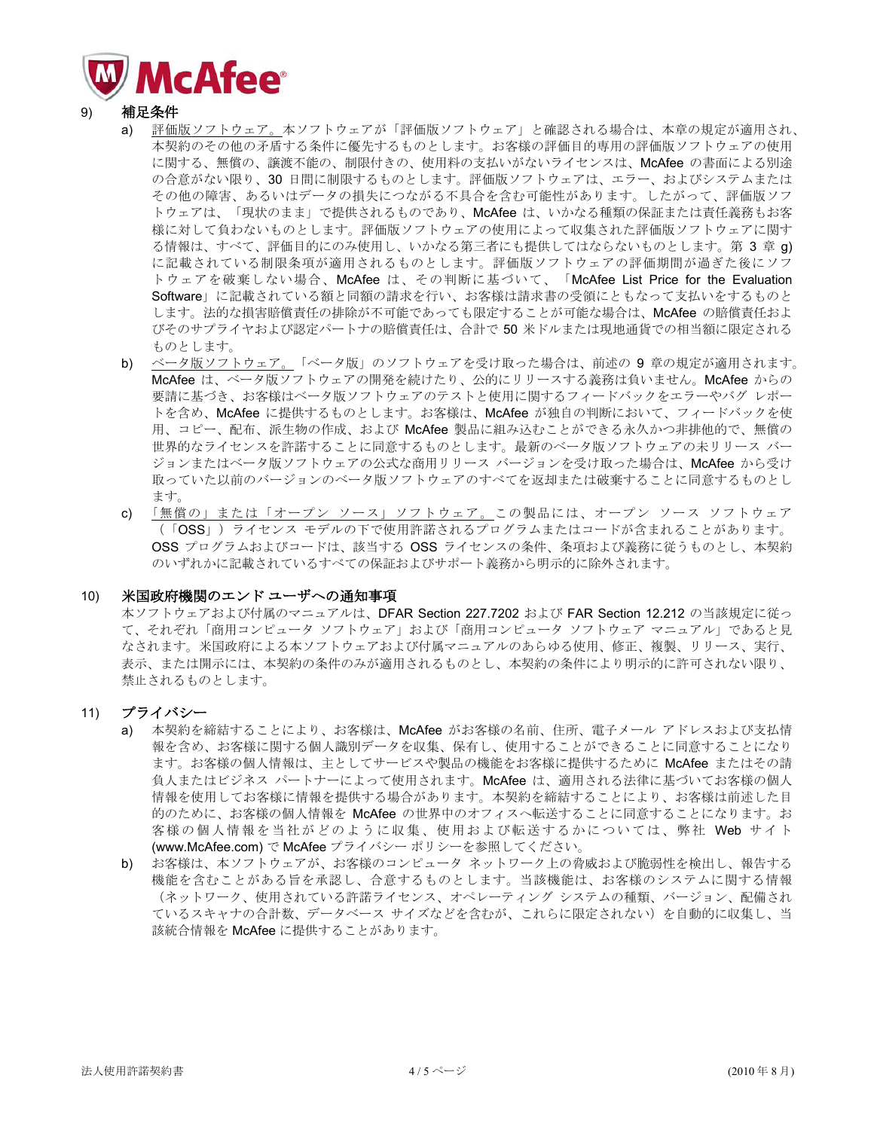

- 9) 補足条件
	- a) 評価版ソフトウェア。本ソフトウェアバ「評価版ソフトウェア」と確認される場合は、本章の規定が適用され、 本契約のその他の矛盾する条件に優先するものとします。お客様の評価目的専用の評価版ソフトウェアの使用 に関する、無償の、譲渡不能の、制限付きの、使用料の支払いがないライセンスは、McAfee の書面による別途 の合意がない限り、30 日間に制限するものとします。評価版ソフトウェアは、エラー、およびシステムまたは その他の障害、あるいはデータの損失につながる不具合を含む可能性があります。したがって、評価版ソフ トウェアは、「現状のまま」で提供されるものであり、McAfee は、いかなる種類の保証または責任義務もお客 様に対して負わないものとします。評価版ソフトウェアの使用によって収集された評価版ソフトウェアに関す る情報は、すべて、評価目的にのみ使用し、いかなる第三者にも提供してはならないものとします。第3章 g) に記載されている制限条項が適用されるものとします。評価版ソフトウェアの評価期間が過ぎた後にソフ トウェアを破棄しない場合、McAfee は、その判断に基づいて、「McAfee List Price for the Evaluation Software」に記載されている額と同額の請求を行い、お客様は請求書の受領にともなって支払いをするものと します。法的な損害賠償責任の排除が不可能であっても限定することが可能な場合は、McAfee の賠償責任およ びそのサプライヤおよび認定パートナの賠償責任は、合計で50米ドルまたは現地通貨での相当額に限定される ものとします。
	- b) ベータ版ソフトウェア。「ベータ版」のソフトウェアを受け取った場合は、前述の9章の規定が適用されます。 McAfee は、ベータ版ソフトウェアの開発を続けたり、公的にリリースする義務は負いません。McAfee からの 要請に基づき、お客様はベータ版ソフトウェアのテストと使用に関するフィードバックをエラーやバグレポー トを含め、McAfee に提供するものとします。お客様は、McAfee が独自の判断において、フィードバックを使 用、コピー、配布、派生物の作成、および McAfee 製品に組み込むことができる永久かつ非排他的で、無償の 世界的なライセンスを許諾することに同意するものとします。最新のベータ版ソフトウェアの未リリース バー ジョンまたはベータ版ソフトウェアの公式な商用リリース バージョンを受け取った場合は、McAfee から受け 取っていた以前のバージョンのベータ版ソフトウェアのすべてを返却または破棄することに同意するものとし ます。
	- c) 「無償の」または「オープン ソース」ソフトウェア。この製品には、オープン ソース ソフトウェア (「OSS」) ライセンス モデルの下で使用許諾されるプログラムまたはコードが含まれることがあります。 OSS プログラムおよびコードは、該当する OSS ライセンスの条件、条項および義務に従うものとし、本契約 のいずれかに記載されているすべての保証およびサポート義務から明示的に除外されます。

## 10) 米国政府機関のエンド ユーザへの通知事項

本ソフトウェアおよび付属のマニュアルは、DFAR Section 227.7202 および FAR Section 12.212 の当該規定に従っ て、それぞれ「商用コンピュータ ソフトウェア」および「商用コンピュータ ソフトウェア マニュアル」であると見 なされます。米国政府による本ソフトウェアおよび付属マニュアルのあらゆる使用、修正、複製、リリース、実行、 表示、または開示には、本契約の各件のみが適用されるものとし、本契約の条件により明示的に許可されない限り、 禁止されるものとします。

- 11) プライバシー
	- a) 本契約を締結することにより、お客様は、McAfee がお客様の名前、住所、電子メール アドレスおよび支払情 報を含め、お客様に関する個人識別データを収集、保有し、使用することができることに同意することになり ます。お客様の個人情報は、主としてサービスや製品の機能をお客様に提供するために McAfee またはその請 負人またはビジネス パートナーによって使用されます。McAfee は、適用される法律に基づいてお客様の個人 情報を使用してお客様に情報を提供する場合があります。本契約を締結することにより、お客様は前述した目 的のために、お客様の個人情報を McAfee の世界中のオフィスへ転送することに同意することになります。お 客様の個人情報を当社がどのように収集、使用および転送するかについては、弊社 Web サイト (www.McAfee.com) で McAfee プライバシー ポリシーを参照してください。
	- b) お客様は、本ソフトウェアが、お客様のコンピュータ ネットワーク上の脅威および脆弱性を検出し、報告する 機能を含むことがある旨を承認し、合意するものとします。当該機能は、お客様のシステムに関する情報 (ネットワーク、使用されている許諾ライセンス、オペレーティング システムの種類、バージョン、配備され ているスキャナの合計数、データベース サイズなどを含むが、これらに限定されない)を自動的に収集し、当 該統合情報を McAfee に提供することがあります。